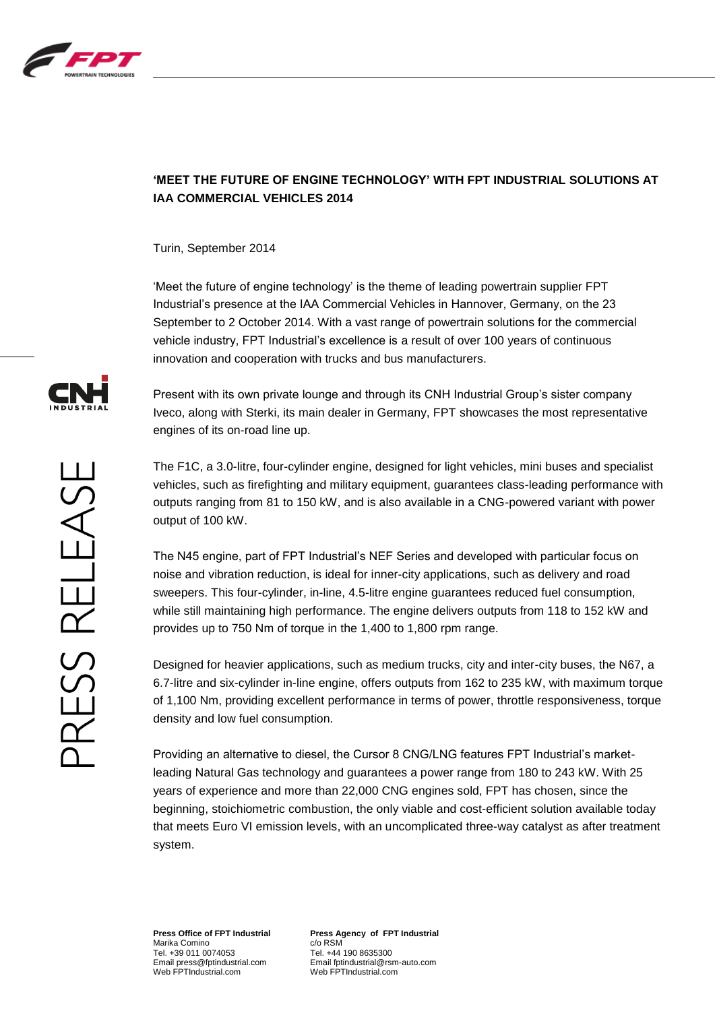

## **'MEET THE FUTURE OF ENGINE TECHNOLOGY' WITH FPT INDUSTRIAL SOLUTIONS AT IAA COMMERCIAL VEHICLES 2014**

Turin, September 2014

'Meet the future of engine technology' is the theme of leading powertrain supplier FPT Industrial's presence at the IAA Commercial Vehicles in Hannover, Germany, on the 23 September to 2 October 2014. With a vast range of powertrain solutions for the commercial vehicle industry, FPT Industrial's excellence is a result of over 100 years of continuous innovation and cooperation with trucks and bus manufacturers.

Present with its own private lounge and through its CNH Industrial Group's sister company Iveco, along with Sterki, its main dealer in Germany, FPT showcases the most representative engines of its on-road line up.

The F1C, a 3.0-litre, four-cylinder engine, designed for light vehicles, mini buses and specialist vehicles, such as firefighting and military equipment, guarantees class-leading performance with outputs ranging from 81 to 150 kW, and is also available in a CNG-powered variant with power output of 100 kW.

The N45 engine, part of FPT Industrial's NEF Series and developed with particular focus on noise and vibration reduction, is ideal for inner-city applications, such as delivery and road sweepers. This four-cylinder, in-line, 4.5-litre engine guarantees reduced fuel consumption, while still maintaining high performance. The engine delivers outputs from 118 to 152 kW and provides up to 750 Nm of torque in the 1,400 to 1,800 rpm range.

Designed for heavier applications, such as medium trucks, city and inter-city buses, the N67, a 6.7-litre and six-cylinder in-line engine, offers outputs from 162 to 235 kW, with maximum torque of 1,100 Nm, providing excellent performance in terms of power, throttle responsiveness, torque density and low fuel consumption.

Providing an alternative to diesel, the Cursor 8 CNG/LNG features FPT Industrial's marketleading Natural Gas technology and guarantees a power range from 180 to 243 kW. With 25 years of experience and more than 22,000 CNG engines sold, FPT has chosen, since the beginning, stoichiometric combustion, the only viable and cost-efficient solution available today that meets Euro VI emission levels, with an uncomplicated three-way catalyst as after treatment system.



**Press Office of FPT Industrial** Marika Comino Tel. +39 011 0074053 Email press@fptindustrial.com Web FPTIndustrial.com

**Press Agency of FPT Industrial** c/o RSM Tel. +44 190 8635300 Email fptindustrial@rsm-auto.com Web FPTIndustrial.com